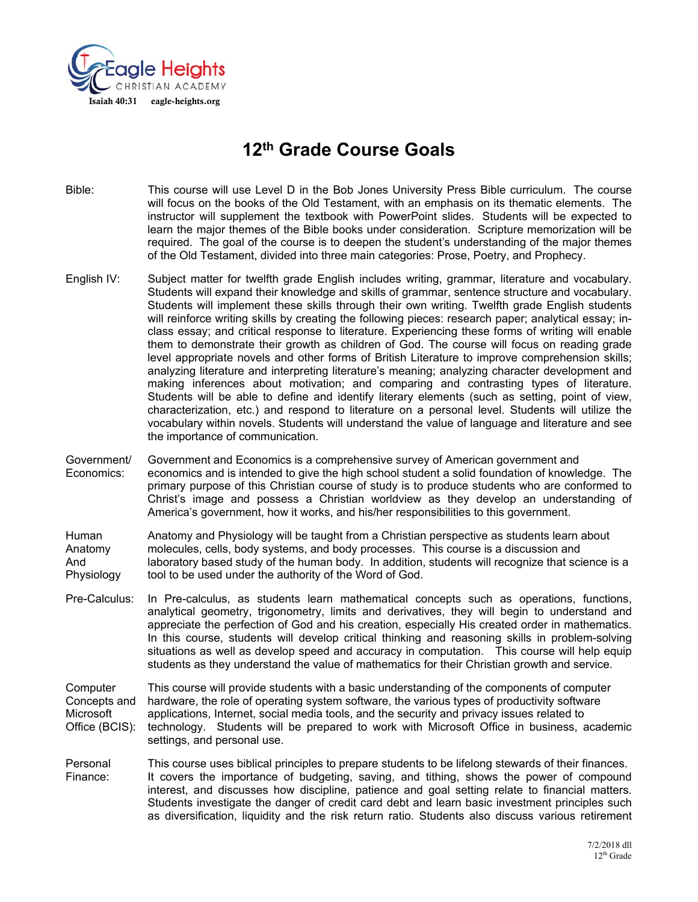

# **12th Grade Course Goals**

- Bible: This course will use Level D in the Bob Jones University Press Bible curriculum. The course will focus on the books of the Old Testament, with an emphasis on its thematic elements. The instructor will supplement the textbook with PowerPoint slides. Students will be expected to learn the major themes of the Bible books under consideration. Scripture memorization will be required. The goal of the course is to deepen the student's understanding of the major themes of the Old Testament, divided into three main categories: Prose, Poetry, and Prophecy.
- English IV: Subject matter for twelfth grade English includes writing, grammar, literature and vocabulary. Students will expand their knowledge and skills of grammar, sentence structure and vocabulary. Students will implement these skills through their own writing. Twelfth grade English students will reinforce writing skills by creating the following pieces: research paper; analytical essay; inclass essay; and critical response to literature. Experiencing these forms of writing will enable them to demonstrate their growth as children of God. The course will focus on reading grade level appropriate novels and other forms of British Literature to improve comprehension skills; analyzing literature and interpreting literature's meaning; analyzing character development and making inferences about motivation; and comparing and contrasting types of literature. Students will be able to define and identify literary elements (such as setting, point of view, characterization, etc.) and respond to literature on a personal level. Students will utilize the vocabulary within novels. Students will understand the value of language and literature and see the importance of communication.
- Government/ Government and Economics is a comprehensive survey of American government and Economics: economics and is intended to give the high school student a solid foundation of knowledge. The primary purpose of this Christian course of study is to produce students who are conformed to Christ's image and possess a Christian worldview as they develop an understanding of America's government, how it works, and his/her responsibilities to this government.

Human Anatomy and Physiology will be taught from a Christian perspective as students learn about<br>Anatomy molecules, cells, body systems, and body processes. This course is a discussion and molecules, cells, body systems, and body processes. This course is a discussion and And laboratory based study of the human body. In addition, students will recognize that science is a Physiology tool to be used under the authority of the Word of God.

Pre-Calculus: In Pre-calculus, as students learn mathematical concepts such as operations, functions, analytical geometry, trigonometry, limits and derivatives, they will begin to understand and appreciate the perfection of God and his creation, especially His created order in mathematics. In this course, students will develop critical thinking and reasoning skills in problem-solving situations as well as develop speed and accuracy in computation. This course will help equip students as they understand the value of mathematics for their Christian growth and service.

Computer This course will provide students with a basic understanding of the components of computer Concepts and hardware, the role of operating system software, the various types of productivity software Microsoft applications, Internet, social media tools, and the security and privacy issues related to Office (BCIS): technology. Students will be prepared to work with Microsoft Office in business, academic settings, and personal use.

Personal This course uses biblical principles to prepare students to be lifelong stewards of their finances. Finance: It covers the importance of budgeting, saving, and tithing, shows the power of compound interest, and discusses how discipline, patience and goal setting relate to financial matters. Students investigate the danger of credit card debt and learn basic investment principles such as diversification, liquidity and the risk return ratio. Students also discuss various retirement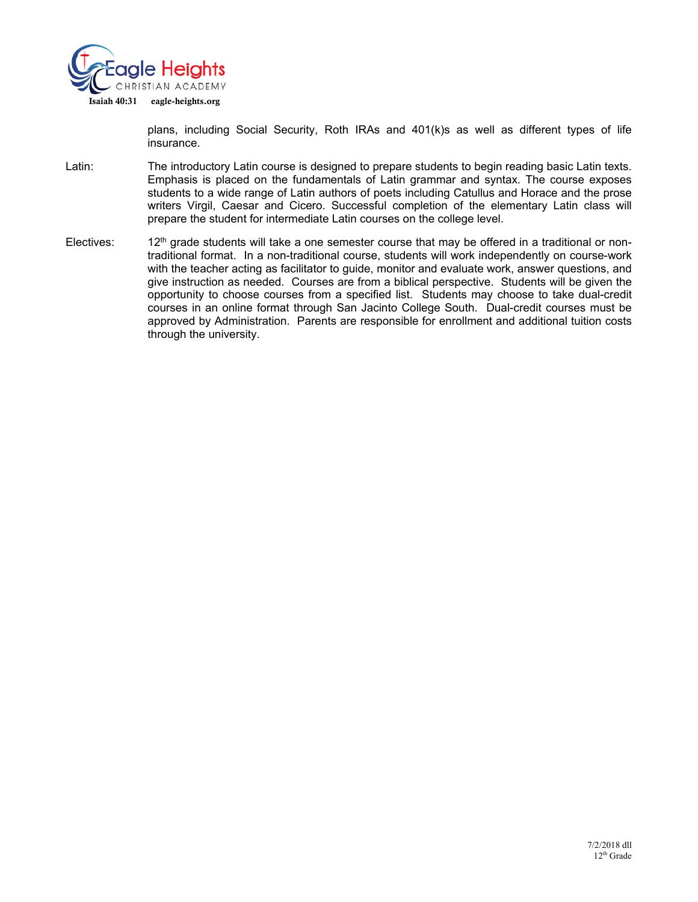

plans, including Social Security, Roth IRAs and 401(k)s as well as different types of life insurance.

- Latin: The introductory Latin course is designed to prepare students to begin reading basic Latin texts. Emphasis is placed on the fundamentals of Latin grammar and syntax. The course exposes students to a wide range of Latin authors of poets including Catullus and Horace and the prose writers Virgil, Caesar and Cicero. Successful completion of the elementary Latin class will prepare the student for intermediate Latin courses on the college level.
- Electives: 12<sup>th</sup> grade students will take a one semester course that may be offered in a traditional or nontraditional format. In a non-traditional course, students will work independently on course-work with the teacher acting as facilitator to guide, monitor and evaluate work, answer questions, and give instruction as needed. Courses are from a biblical perspective. Students will be given the opportunity to choose courses from a specified list. Students may choose to take dual-credit courses in an online format through San Jacinto College South. Dual-credit courses must be approved by Administration. Parents are responsible for enrollment and additional tuition costs through the university.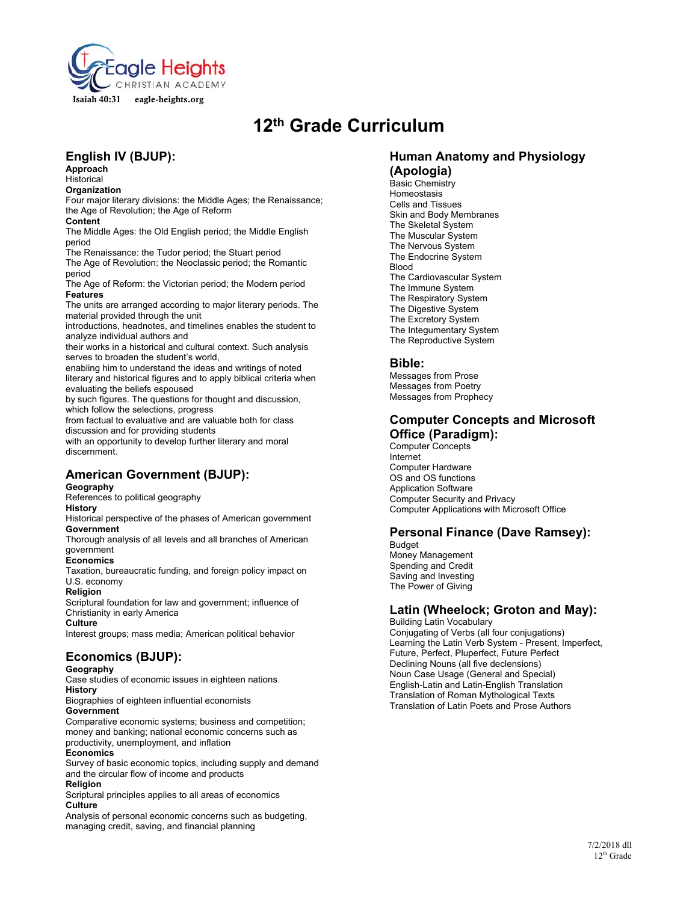

# **12th Grade Curriculum**

## **English IV (BJUP):**

**Approach**  Historical

**Organization** 

Four major literary divisions: the Middle Ages; the Renaissance; the Age of Revolution; the Age of Reform

**Content** 

The Middle Ages: the Old English period; the Middle English period

The Renaissance: the Tudor period; the Stuart period The Age of Revolution: the Neoclassic period; the Romantic period

The Age of Reform: the Victorian period; the Modern period **Features** 

The units are arranged according to major literary periods. The material provided through the unit

introductions, headnotes, and timelines enables the student to analyze individual authors and

their works in a historical and cultural context. Such analysis serves to broaden the student's world,

enabling him to understand the ideas and writings of noted literary and historical figures and to apply biblical criteria when evaluating the beliefs espoused

by such figures. The questions for thought and discussion, which follow the selections, progress

from factual to evaluative and are valuable both for class discussion and for providing students

with an opportunity to develop further literary and moral discernment.

## **American Government (BJUP):**

#### **Geography**

References to political geography

#### **History**

Historical perspective of the phases of American government **Government** 

Thorough analysis of all levels and all branches of American government

#### **Economics**

Taxation, bureaucratic funding, and foreign policy impact on U.S. economy

#### **Religion**

Scriptural foundation for law and government; influence of Christianity in early America

#### **Culture**

Interest groups; mass media; American political behavior

### **Economics (BJUP):**

**Geography** 

Case studies of economic issues in eighteen nations **History** 

Biographies of eighteen influential economists **Government** 

Comparative economic systems; business and competition; money and banking; national economic concerns such as productivity, unemployment, and inflation

#### **Economics**

Survey of basic economic topics, including supply and demand and the circular flow of income and products **Religion** 

Scriptural principles applies to all areas of economics

#### **Culture**

Analysis of personal economic concerns such as budgeting, managing credit, saving, and financial planning

## **Human Anatomy and Physiology (Apologia)**

Basic Chemistry **Homeostasis** Cells and Tissues Skin and Body Membranes The Skeletal System The Muscular System The Nervous System The Endocrine System **Blood** The Cardiovascular System The Immune System The Respiratory System The Digestive System The Excretory System The Integumentary System The Reproductive System

#### **Bible:**

Messages from Prose Messages from Poetry Messages from Prophecy

## **Computer Concepts and Microsoft Office (Paradigm):**

Computer Concepts Internet Computer Hardware OS and OS functions Application Software Computer Security and Privacy Computer Applications with Microsoft Office

### **Personal Finance (Dave Ramsey):**

Budget Money Management Spending and Credit Saving and Investing The Power of Giving

## **Latin (Wheelock; Groton and May):**

Building Latin Vocabulary Conjugating of Verbs (all four conjugations) Learning the Latin Verb System - Present, Imperfect, Future, Perfect, Pluperfect, Future Perfect Declining Nouns (all five declensions) Noun Case Usage (General and Special) English-Latin and Latin-English Translation Translation of Roman Mythological Texts Translation of Latin Poets and Prose Authors